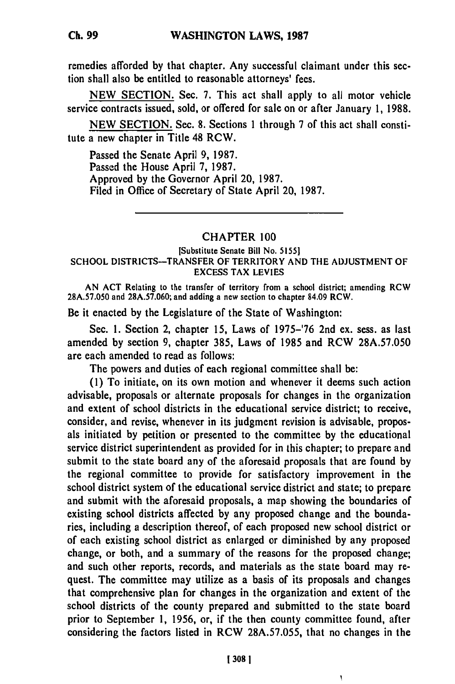remedies afforded **by** that chapter. Any successful claimant under this section shall also be entitled to reasonable attorneys' fees.

**NEW SECTION.** Sec. **7.** This act shall apply to all motor vehicle service contracts issued, sold, or offered for sale on or after January **1, 1988.**

**NEW SECTION.** Sec. **8.** Sections **1** through **7** of this act shall constitute a new chapter in Title 48 RCW.

Passed the Senate April **9, 1987.** Passed the House April **7, 1987.** Approved **by** the Governor April 20, **1987.** Filed in Office of Secretary of State April 20, **1987.**

## CHAPTER **100**

## [Substitute Senate Bill No. **5155] SCHOOL DISTRICTS-TRANSFER OF TERRITORY AND THE ADJUSTMENT OF EXCESS TAX LEVIES**

**AN ACT Relating to the transfer** of territory from a school district; amending RCW **28A.57.050** and **28A.57.060;** and adding a new section to chapter 84.09 RCW.

Be it enacted **by** the Legislature of the State of Washington:

Sec. **1.** Section 2, chapter **15,** Laws of **1975-'76** 2nd ex. sess. as last amended **by** section **9,** chapter **385,** Laws of **1985** and RCW **28A.57.050** are each amended to read as follows:

The powers and duties of each regional committee shall be:

**(1)** To initiate, on its own motion and whenever it deems such action advisable, proposals or alternate proposals for changes in the organization and extent of school districts in the educational service district; to receive, consider, and revise, whenever in its judgment revision is advisable, proposals initiated **by** petition or presented to the committee **by** the educational service district superintendent as provided for in this chapter; to prepare and submit to the state board any of the aforesaid proposals that are found **by** the regional committee to provide for satisfactory improvement in the school district system of the educational service district and state; to prepare and submit with the aforesaid proposals, a map showing the boundaries of existing school districts affected **by** any proposed change and the boundaries, including a description thereof, of each proposed new school district or of each existing school district as enlarged or diminished **by** any proposed change, or both, and a summary of the reasons for the proposed change; and such other reports, records, and materials as the state board may request. The committee may utilize as a basis of its proposals and changes that comprehensive plan for changes in the organization and extent of the school districts of the county prepared and submitted to the state board prior to September **1, 1956,** or, if the then county committee found, after considering the factors listed in RCW **28A.57.055,** that no changes in the

J,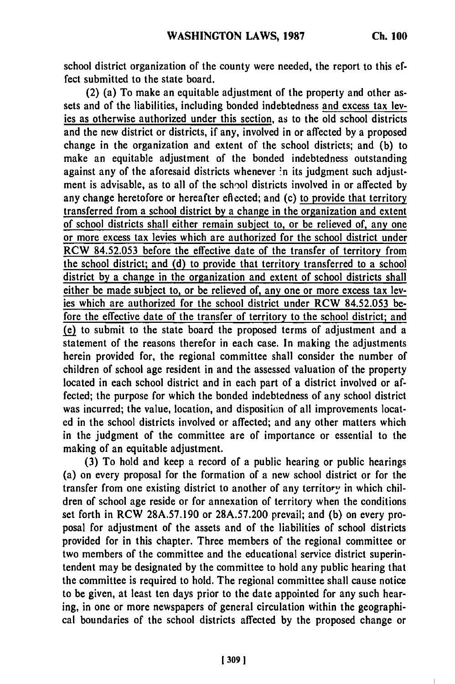school district organization of the county were needed, the report to this effect submitted to the state board.

(2) (a) To make an equitable adjustment of the property and other assets and of the liabilities, including bonded indebtedness and excess tax levies as otherwise authorized under this section, as to the old school districts and the new district or districts, if any, involved in or affected **by** a proposed change in the organization and extent of the school districts; and **(b)** to make an equitable adjustment of the bonded indebtedness outstanding against any of the aforesaid districts whenever in its judgment such adjustment is advisable, as to all of the school districts involved in or affected **by** any change heretofore or hereafter eflected; and (c) to provide that territory transferred from a school district by a change in the organization and extent of school districts shall either remain subject to, or be relieved of, any one or more excess tax levies which are authorized for the school district under RCW 84.52.053 before the effective date of the transfer of territory from the school district; and **(d)** to provide that territory transferred to a school district **by** a change in the organization and extent of school districts shall either be made subject to, or be relieved of, any one or more excess tax levies which are authorized for the school district under RCW 84.52.053 before the effective date of the transfer of territory to the school district; and  $(e)$  to submit to the state board the proposed terms of adjustment and a statement of the reasons therefor in each case. In making the adjustments herein provided for, the regional committee shall consider the number of children of school age resident in and the assessed valuation of the property located in each school district and in each part of a district involved or affected; the purpose for which the bonded indebtedness of any school district was incurred; the value, location, and disposition of all improvements located in the school districts involved or affected; and any other matters which in the judgment of the committee are of importance or essential to the making of an equitable adjustment.

**(3)** To hold and keep a record of a public hearing or public hearings (a) on every proposal for the formation of a new school district or for the transfer from one existing district to another of any territory in which children of school age reside or for annexation of territory when the conditions set forth in RCW 28A.57.190 or **28A.57.200** prevail; and **(b)** on every proposal for adjustment of the assets and of the liabilities of school districts provided for in this chapter. Three members of the regional committee or two members of the committee and the educational service district superintendent may be designated by the committee to hold any public hearing that the committee is required to hold. The regional committee shall cause notice to be given, at least ten days prior to the date appointed for any such hearing, in one or more newspapers of general circulation within the geographical boundaries of the school districts affected by the proposed change or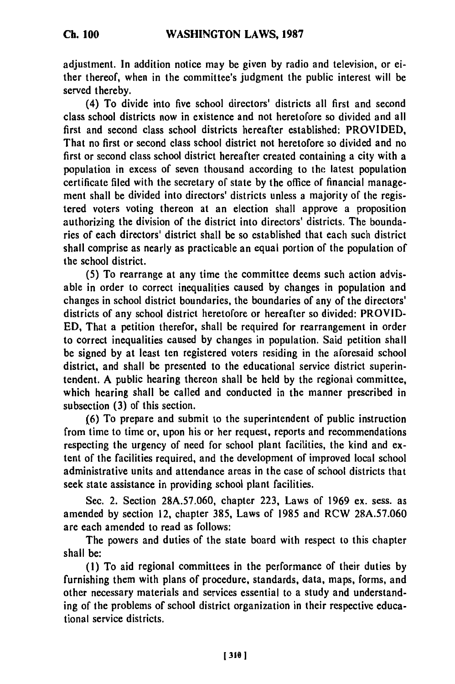adjustment. In addition notice may be given **by** radio and television, or either thereof, when in the committee's judgment the public interest will be served thereby.

(4) To divide into five school directors' districts all first and second class school districts now in existence and not heretofore so divided and all first and second class school districts hereafter established: PROVIDED, That no first or second class school district not heretofore so divided and no first or second class school district hereafter created containing a city with a population in excess of seven thousand according to the latest population certificate filed with the secretary of state **by** the office of financial management shall be divided into directors' districts unless a majority of the registered voters voting thereon at an election shall approve a proposition authorizing the division of the district into directors' districts. The boundaries of each directors' district shall be so established that each such district shall comprise as nearly as practicable an equal portion of the population of the school district.

**(5)** To rearrange at any time the committee deems such action advisable in order to correct inequalities caused by changes in population and changes in school district boundaries, the boundaries of any of the directors' districts of any school district heretofore or hereafter so divided: PROVID-ED, That a petition therefor, shall be required for rearrangement in order to correct inequalities caused by changes in population. Said petition shall be signed by at least ten registered voters residing in the aforesaid school district, and shall be presented to the educational service district superintendent. A public hearing thereon shall be held by the regional committee, which hearing shall be called and conducted in the manner prescribed in subsection (3) of this section.

(6) To prepare and submit to the superintendent of public instruction from time to time or, upon his or her request, reports and recommendations respecting the urgency of need for school plant facilities, the kind and extent of the facilities required, and the development of improved local school administrative units and attendance areas in the case of school districts that seek state assistance in providing school plant facilities.

Sec. 2. Section 28A.57.060, chapter 223, Laws of 1969 ex. sess. as amended by section 12, chapter 385, Laws of 1985 and RCW 28A.57.060 are each amended to read as follows:

The powers and duties of the state board with respect to this chapter shall be:

(1) To aid regional committees in the performance of their duties by furnishing them with plans of procedure, standards, data, maps, forms, and other necessary materials and services essential to a study and understanding of the problems of school district organization in their respective educational service districts.